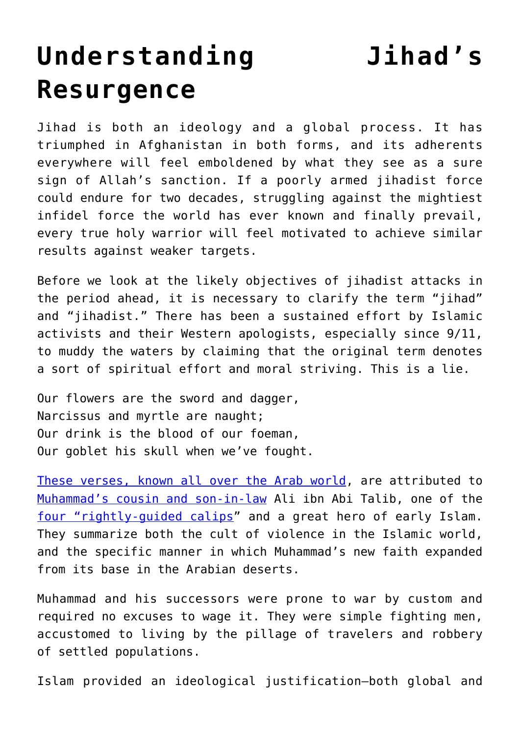## **[Understanding Jihad's](https://intellectualtakeout.org/2021/08/understanding-jihads-resurgence/) [Resurgence](https://intellectualtakeout.org/2021/08/understanding-jihads-resurgence/)**

Jihad is both an ideology and a global process. It has triumphed in Afghanistan in both forms, and its adherents everywhere will feel emboldened by what they see as a sure sign of Allah's sanction. If a poorly armed jihadist force could endure for two decades, struggling against the mightiest infidel force the world has ever known and finally prevail, every true holy warrior will feel motivated to achieve similar results against weaker targets.

Before we look at the likely objectives of jihadist attacks in the period ahead, it is necessary to clarify the term "jihad" and "jihadist." There has been a sustained effort by Islamic activists and their Western apologists, especially since 9/11, to muddy the waters by claiming that the original term denotes a sort of spiritual effort and moral striving. This is a lie.

Our flowers are the sword and dagger, Narcissus and myrtle are naught; Our drink is the blood of our foeman, Our goblet his skull when we've fought.

[These verses, known all over the Arab world](https://www.answering-islam.org/Books/Zwemer/Studies/chap3.htm), are attributed to [Muhammad's cousin and son-in-law](https://www.britannica.com/biography/Ali-Muslim-caliph) Ali ibn Abi Talib, one of the [four "rightly-guided calips"](https://www.oxfordreference.com/view/10.1093/oi/authority.20110803100421411) and a great hero of early Islam. They summarize both the cult of violence in the Islamic world, and the specific manner in which Muhammad's new faith expanded from its base in the Arabian deserts.

Muhammad and his successors were prone to war by custom and required no excuses to wage it. They were simple fighting men, accustomed to living by the pillage of travelers and robbery of settled populations.

Islam provided an ideological justification—both global and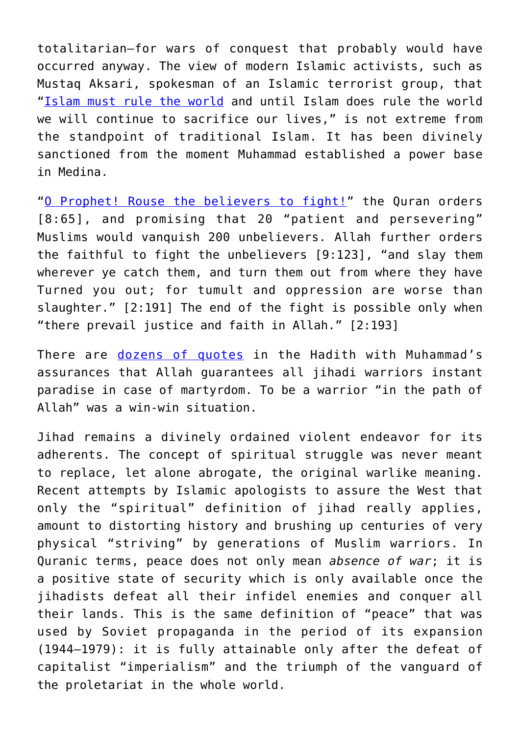totalitarian—for wars of conquest that probably would have occurred anyway. The view of modern Islamic activists, such as Mustaq Aksari, spokesman of an Islamic terrorist group, that "[Islam must rule the world](https://www.jamaicaobserver.com/columns/Islam--Why-should-I-care-_19240464) and until Islam does rule the world we will continue to sacrifice our lives," is not extreme from the standpoint of traditional Islam. It has been divinely sanctioned from the moment Muhammad established a power base in Medina.

"[O Prophet! Rouse the believers to fight!](https://www.islamawakened.com/quran/8/65)" the Quran orders [8:65], and promising that 20 "patient and persevering" Muslims would vanquish 200 unbelievers. Allah further orders the faithful to fight the unbelievers [9:123], "and slay them wherever ye catch them, and turn them out from where they have Turned you out; for tumult and oppression are worse than slaughter." [2:191] The end of the fight is possible only when "there prevail justice and faith in Allah." [2:193]

There are [dozens of quotes](https://sunnah.com/mishkat/19) in the Hadith with Muhammad's assurances that Allah guarantees all jihadi warriors instant paradise in case of martyrdom. To be a warrior "in the path of Allah" was a win-win situation.

Jihad remains a divinely ordained violent endeavor for its adherents. The concept of spiritual struggle was never meant to replace, let alone abrogate, the original warlike meaning. Recent attempts by Islamic apologists to assure the West that only the "spiritual" definition of jihad really applies, amount to distorting history and brushing up centuries of very physical "striving" by generations of Muslim warriors. In Quranic terms, peace does not only mean *absence of war*; it is a positive state of security which is only available once the jihadists defeat all their infidel enemies and conquer all their lands. This is the same definition of "peace" that was used by Soviet propaganda in the period of its expansion (1944–1979): it is fully attainable only after the defeat of capitalist "imperialism" and the triumph of the vanguard of the proletariat in the whole world.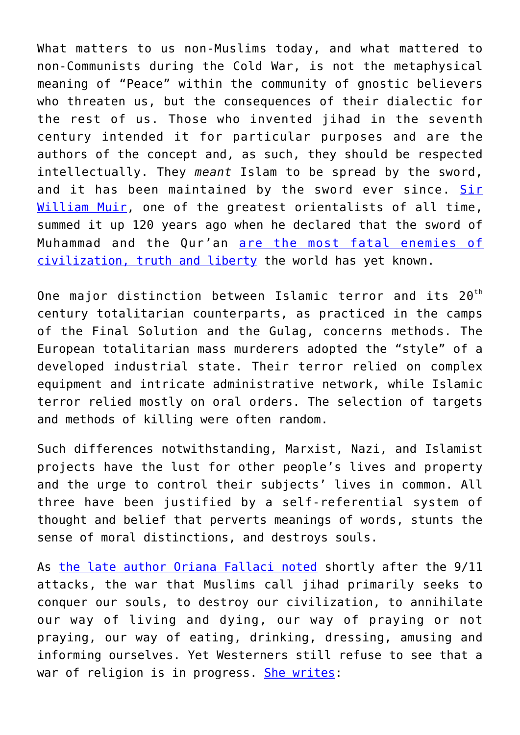What matters to us non-Muslims today, and what mattered to non-Communists during the Cold War, is not the metaphysical meaning of "Peace" within the community of gnostic believers who threaten us, but the consequences of their dialectic for the rest of us. Those who invented jihad in the seventh century intended it for particular purposes and are the authors of the concept and, as such, they should be respected intellectually. They *meant* Islam to be spread by the sword, and it has been maintained by the sword ever since. [Sir](https://www.jstor.org/stable/25210210) [William Muir,](https://www.jstor.org/stable/25210210) one of the greatest orientalists of all time, summed it up 120 years ago when he declared that the sword of Muhammad and the Qur'an [are the most fatal enemies of](https://www.scribd.com/document/120242181/Islam-Quote) [civilization, truth and liberty](https://www.scribd.com/document/120242181/Islam-Quote) the world has yet known.

One major distinction between Islamic terror and its 20<sup>th</sup> century totalitarian counterparts, as practiced in the camps of the Final Solution and the Gulag, concerns methods. The European totalitarian mass murderers adopted the "style" of a developed industrial state. Their terror relied on complex equipment and intricate administrative network, while Islamic terror relied mostly on oral orders. The selection of targets and methods of killing were often random.

Such differences notwithstanding, Marxist, Nazi, and Islamist projects have the lust for other people's lives and property and the urge to control their subjects' lives in common. All three have been justified by a self-referential system of thought and belief that perverts meanings of words, stunts the sense of moral distinctions, and destroys souls.

As [the late author Oriana Fallaci noted](https://www.ibs.it/radici-dell-odio-mia-verita-libro-oriana-fallaci/e/9788817084284) shortly after the 9/11 attacks, the war that Muslims call jihad primarily seeks to conquer our souls, to destroy our civilization, to annihilate our way of living and dying, our way of praying or not praying, our way of eating, drinking, dressing, amusing and informing ourselves. Yet Westerners still refuse to see that a war of religion is in progress. [She writes:](http://You don’t understand or don’t want to understand that if we don’t oppose this, don’t defend ourselves against this, don’t fight, Jihad will win. And it will destroy the world that, good or bad, we’ve succeeded in building, changing, improving and making a little more intelligent, i.e., less bigoted or even without bigotry. And with that it will destroy our culture, our art, our science, our morality, our values and our pleasures.)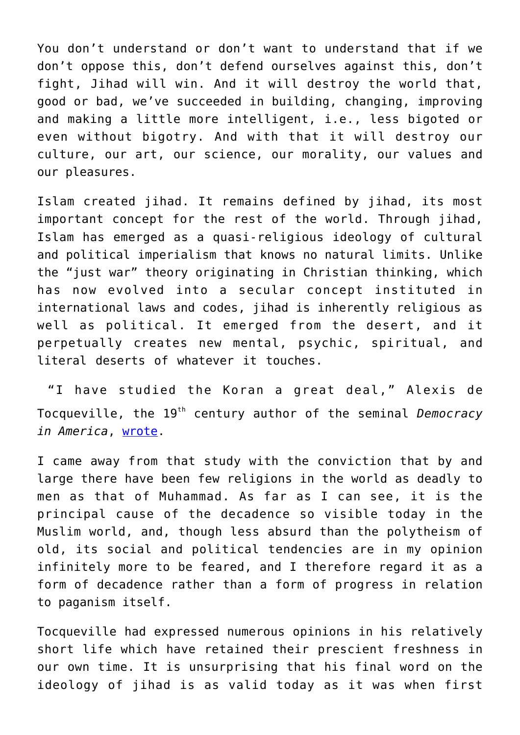You don't understand or don't want to understand that if we don't oppose this, don't defend ourselves against this, don't fight, Jihad will win. And it will destroy the world that, good or bad, we've succeeded in building, changing, improving and making a little more intelligent, i.e., less bigoted or even without bigotry. And with that it will destroy our culture, our art, our science, our morality, our values and our pleasures.

Islam created jihad. It remains defined by jihad, its most important concept for the rest of the world. Through jihad, Islam has emerged as a quasi-religious ideology of cultural and political imperialism that knows no natural limits. Unlike the "just war" theory originating in Christian thinking, which has now evolved into a secular concept instituted in international laws and codes, jihad is inherently religious as well as political. It emerged from the desert, and it perpetually creates new mental, psychic, spiritual, and literal deserts of whatever it touches.

 "I have studied the Koran a great deal," Alexis de Tocqueville, the 19th century author of the seminal *Democracy in America*, [wrote.](https://www.amazon.com/gp/product/097789844X/ref=as_li_qf_asin_il_tl?ie=UTF8&tag=intelltakeo0d-20&creative=9325&linkCode=as2&creativeASIN=097789844X&linkId=8941100d9419971d7918d6f311a1bdf1)

I came away from that study with the conviction that by and large there have been few religions in the world as deadly to men as that of Muhammad. As far as I can see, it is the principal cause of the decadence so visible today in the Muslim world, and, though less absurd than the polytheism of old, its social and political tendencies are in my opinion infinitely more to be feared, and I therefore regard it as a form of decadence rather than a form of progress in relation to paganism itself.

Tocqueville had expressed numerous opinions in his relatively short life which have retained their prescient freshness in our own time. It is unsurprising that his final word on the ideology of jihad is as valid today as it was when first